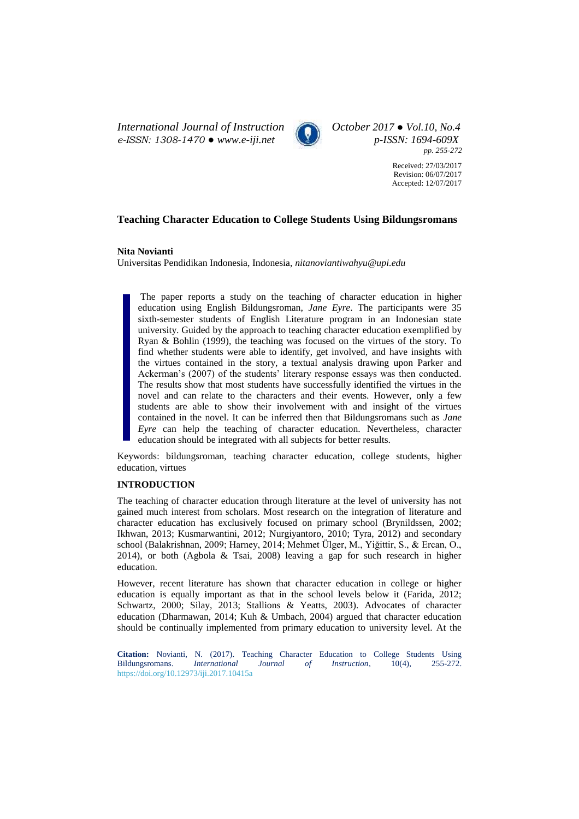*International Journal of Instruction October 2017 ● Vol.10, No.4 e-ISSN: 1308-1470 ● [www.e-iji.net](http://www.e-iji.net/) p-ISSN: 1694-609X*



*pp. 255-272*

Received: 27/03/2017 Revision: 06/07/2017 Accepted: 12/07/2017

# **Teaching Character Education to College Students Using Bildungsromans**

### **Nita Novianti**

Universitas Pendidikan Indonesia, Indonesia, *nitanoviantiwahyu@upi.edu*

The paper reports a study on the teaching of character education in higher education using English Bildungsroman, *Jane Eyre*. The participants were 35 sixth-semester students of English Literature program in an Indonesian state university. Guided by the approach to teaching character education exemplified by Ryan & Bohlin (1999), the teaching was focused on the virtues of the story. To find whether students were able to identify, get involved, and have insights with the virtues contained in the story, a textual analysis drawing upon Parker and Ackerman's (2007) of the students' literary response essays was then conducted. The results show that most students have successfully identified the virtues in the novel and can relate to the characters and their events. However, only a few students are able to show their involvement with and insight of the virtues contained in the novel. It can be inferred then that Bildungsromans such as *Jane Eyre* can help the teaching of character education. Nevertheless, character education should be integrated with all subjects for better results.

Keywords: bildungsroman, teaching character education, college students, higher education, virtues

# **INTRODUCTION**

The teaching of character education through literature at the level of university has not gained much interest from scholars. Most research on the integration of literature and character education has exclusively focused on primary school (Brynildssen, 2002; Ikhwan, 2013; Kusmarwantini, 2012; Nurgiyantoro, 2010; Tyra, 2012) and secondary school (Balakrishnan, 2009; Harney, 2014; Mehmet Ülger, M., Yiğittir, S., & Ercan, O., 2014), or both (Agbola & Tsai, 2008) leaving a gap for such research in higher education.

However, recent literature has shown that character education in college or higher education is equally important as that in the school levels below it (Farida, 2012; Schwartz, 2000; Silay, 2013; Stallions & Yeatts, 2003). Advocates of character education (Dharmawan, 2014; Kuh & Umbach, 2004) argued that character education should be continually implemented from primary education to university level. At the

**Citation:** Novianti, N. (2017). Teaching Character Education to College Students Using Bildungsromans. *International Journal of Instruction*, 10(4), 255-272. Bildungsromans. *International Journal of Instruction*, 10(4), <https://doi.org/10.12973/iji.2017.10415a>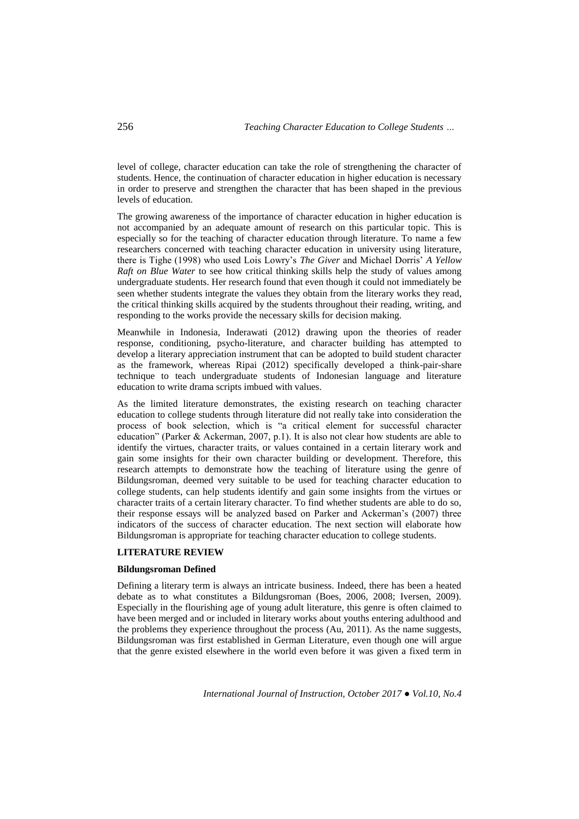level of college, character education can take the role of strengthening the character of students. Hence, the continuation of character education in higher education is necessary in order to preserve and strengthen the character that has been shaped in the previous levels of education.

The growing awareness of the importance of character education in higher education is not accompanied by an adequate amount of research on this particular topic. This is especially so for the teaching of character education through literature. To name a few researchers concerned with teaching character education in university using literature, there is Tighe (1998) who used Lois Lowry's *The Giver* and Michael Dorris' *A Yellow Raft on Blue Water* to see how critical thinking skills help the study of values among undergraduate students. Her research found that even though it could not immediately be seen whether students integrate the values they obtain from the literary works they read, the critical thinking skills acquired by the students throughout their reading, writing, and responding to the works provide the necessary skills for decision making.

Meanwhile in Indonesia, Inderawati (2012) drawing upon the theories of reader response, conditioning, psycho-literature, and character building has attempted to develop a literary appreciation instrument that can be adopted to build student character as the framework, whereas Ripai (2012) specifically developed a think-pair-share technique to teach undergraduate students of Indonesian language and literature education to write drama scripts imbued with values.

As the limited literature demonstrates, the existing research on teaching character education to college students through literature did not really take into consideration the process of book selection, which is "a critical element for successful character education" (Parker & Ackerman, 2007, p.1). It is also not clear how students are able to identify the virtues, character traits, or values contained in a certain literary work and gain some insights for their own character building or development. Therefore, this research attempts to demonstrate how the teaching of literature using the genre of Bildungsroman, deemed very suitable to be used for teaching character education to college students, can help students identify and gain some insights from the virtues or character traits of a certain literary character. To find whether students are able to do so, their response essays will be analyzed based on Parker and Ackerman's (2007) three indicators of the success of character education. The next section will elaborate how Bildungsroman is appropriate for teaching character education to college students.

#### **LITERATURE REVIEW**

#### **Bildungsroman Defined**

Defining a literary term is always an intricate business. Indeed, there has been a heated debate as to what constitutes a Bildungsroman (Boes, 2006, 2008; Iversen, 2009). Especially in the flourishing age of young adult literature, this genre is often claimed to have been merged and or included in literary works about youths entering adulthood and the problems they experience throughout the process (Au, 2011). As the name suggests, Bildungsroman was first established in German Literature, even though one will argue that the genre existed elsewhere in the world even before it was given a fixed term in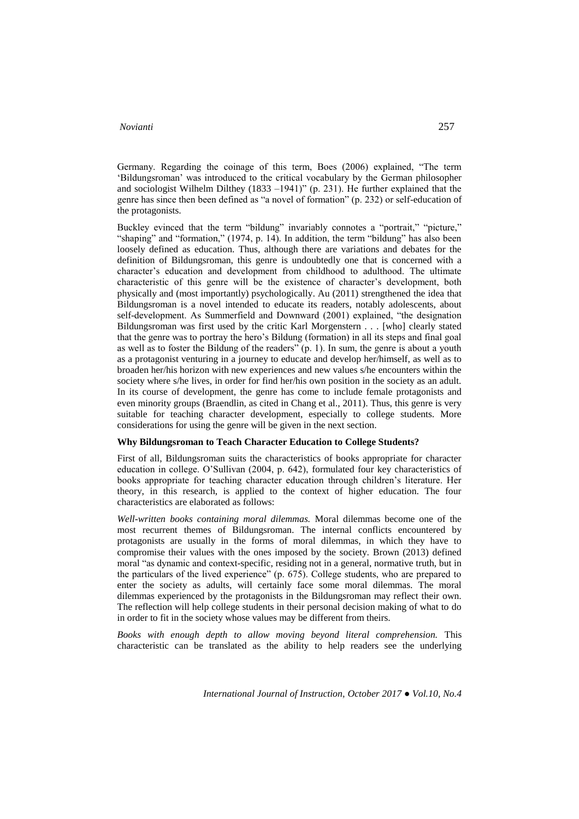Germany. Regarding the coinage of this term, Boes (2006) explained, "The term 'Bildungsroman' was introduced to the critical vocabulary by the German philosopher and sociologist Wilhelm Dilthey (1833 –1941)" (p. 231). He further explained that the genre has since then been defined as "a novel of formation" (p. 232) or self-education of the protagonists.

Buckley evinced that the term "bildung" invariably connotes a "portrait," "picture," "shaping" and "formation," (1974, p. 14). In addition, the term "bildung" has also been loosely defined as education. Thus, although there are variations and debates for the definition of Bildungsroman, this genre is undoubtedly one that is concerned with a character's education and development from childhood to adulthood. The ultimate characteristic of this genre will be the existence of character's development, both physically and (most importantly) psychologically. Au (2011) strengthened the idea that Bildungsroman is a novel intended to educate its readers, notably adolescents, about self-development. As Summerfield and Downward (2001) explained, "the designation Bildungsroman was first used by the critic Karl Morgenstern . . . [who] clearly stated that the genre was to portray the hero's Bildung (formation) in all its steps and final goal as well as to foster the Bildung of the readers" (p. 1). In sum, the genre is about a youth as a protagonist venturing in a journey to educate and develop her/himself, as well as to broaden her/his horizon with new experiences and new values s/he encounters within the society where s/he lives, in order for find her/his own position in the society as an adult. In its course of development, the genre has come to include female protagonists and even minority groups (Braendlin, as cited in Chang et al., 2011). Thus, this genre is very suitable for teaching character development, especially to college students. More considerations for using the genre will be given in the next section.

#### **Why Bildungsroman to Teach Character Education to College Students?**

First of all, Bildungsroman suits the characteristics of books appropriate for character education in college. O'Sullivan (2004, p. 642), formulated four key characteristics of books appropriate for teaching character education through children's literature. Her theory, in this research, is applied to the context of higher education. The four characteristics are elaborated as follows:

*Well-written books containing moral dilemmas.* Moral dilemmas become one of the most recurrent themes of Bildungsroman. The internal conflicts encountered by protagonists are usually in the forms of moral dilemmas, in which they have to compromise their values with the ones imposed by the society. Brown (2013) defined moral "as dynamic and context-specific, residing not in a general, normative truth, but in the particulars of the lived experience" (p. 675). College students, who are prepared to enter the society as adults, will certainly face some moral dilemmas. The moral dilemmas experienced by the protagonists in the Bildungsroman may reflect their own. The reflection will help college students in their personal decision making of what to do in order to fit in the society whose values may be different from theirs.

*Books with enough depth to allow moving beyond literal comprehension.* This characteristic can be translated as the ability to help readers see the underlying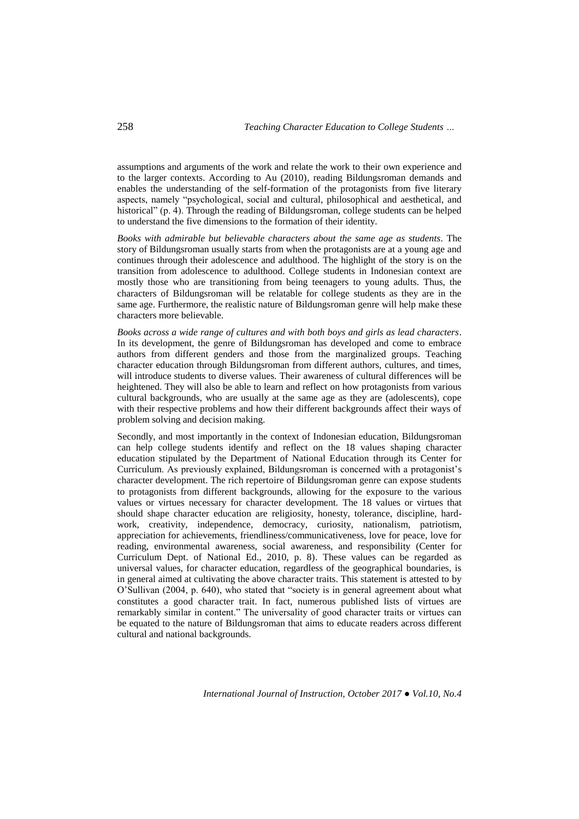assumptions and arguments of the work and relate the work to their own experience and to the larger contexts. According to Au (2010), reading Bildungsroman demands and enables the understanding of the self-formation of the protagonists from five literary aspects, namely "psychological, social and cultural, philosophical and aesthetical, and historical" (p. 4). Through the reading of Bildungsroman, college students can be helped to understand the five dimensions to the formation of their identity.

*Books with admirable but believable characters about the same age as students*. The story of Bildungsroman usually starts from when the protagonists are at a young age and continues through their adolescence and adulthood. The highlight of the story is on the transition from adolescence to adulthood. College students in Indonesian context are mostly those who are transitioning from being teenagers to young adults. Thus, the characters of Bildungsroman will be relatable for college students as they are in the same age. Furthermore, the realistic nature of Bildungsroman genre will help make these characters more believable.

*Books across a wide range of cultures and with both boys and girls as lead characters*. In its development, the genre of Bildungsroman has developed and come to embrace authors from different genders and those from the marginalized groups. Teaching character education through Bildungsroman from different authors, cultures, and times, will introduce students to diverse values. Their awareness of cultural differences will be heightened. They will also be able to learn and reflect on how protagonists from various cultural backgrounds, who are usually at the same age as they are (adolescents), cope with their respective problems and how their different backgrounds affect their ways of problem solving and decision making.

Secondly, and most importantly in the context of Indonesian education, Bildungsroman can help college students identify and reflect on the 18 values shaping character education stipulated by the Department of National Education through its Center for Curriculum. As previously explained, Bildungsroman is concerned with a protagonist's character development. The rich repertoire of Bildungsroman genre can expose students to protagonists from different backgrounds, allowing for the exposure to the various values or virtues necessary for character development. The 18 values or virtues that should shape character education are religiosity, honesty, tolerance, discipline, hardwork, creativity, independence, democracy, curiosity, nationalism, patriotism, appreciation for achievements, friendliness/communicativeness, love for peace, love for reading, environmental awareness, social awareness, and responsibility (Center for Curriculum Dept. of National Ed., 2010, p. 8). These values can be regarded as universal values, for character education, regardless of the geographical boundaries, is in general aimed at cultivating the above character traits. This statement is attested to by O'Sullivan (2004, p. 640), who stated that "society is in general agreement about what constitutes a good character trait. In fact, numerous published lists of virtues are remarkably similar in content." The universality of good character traits or virtues can be equated to the nature of Bildungsroman that aims to educate readers across different cultural and national backgrounds.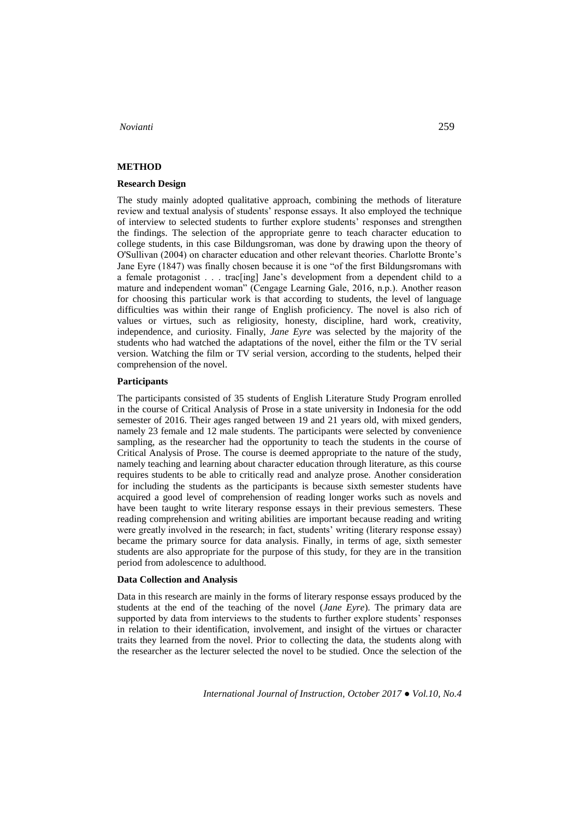# **METHOD**

#### **Research Design**

The study mainly adopted qualitative approach, combining the methods of literature review and textual analysis of students' response essays. It also employed the technique of interview to selected students to further explore students' responses and strengthen the findings. The selection of the appropriate genre to teach character education to college students, in this case Bildungsroman, was done by drawing upon the theory of O'Sullivan (2004) on character education and other relevant theories. Charlotte Bronte's Jane Eyre (1847) was finally chosen because it is one "of the first Bildungsromans with a female protagonist . . . trac[ing] Jane's development from a dependent child to a mature and independent woman" (Cengage Learning Gale, 2016, n.p.). Another reason for choosing this particular work is that according to students, the level of language difficulties was within their range of English proficiency. The novel is also rich of values or virtues, such as religiosity, honesty, discipline, hard work, creativity, independence, and curiosity. Finally, *Jane Eyre* was selected by the majority of the students who had watched the adaptations of the novel, either the film or the TV serial version. Watching the film or TV serial version, according to the students, helped their comprehension of the novel.

#### **Participants**

The participants consisted of 35 students of English Literature Study Program enrolled in the course of Critical Analysis of Prose in a state university in Indonesia for the odd semester of 2016. Their ages ranged between 19 and 21 years old, with mixed genders, namely 23 female and 12 male students. The participants were selected by convenience sampling, as the researcher had the opportunity to teach the students in the course of Critical Analysis of Prose. The course is deemed appropriate to the nature of the study, namely teaching and learning about character education through literature, as this course requires students to be able to critically read and analyze prose. Another consideration for including the students as the participants is because sixth semester students have acquired a good level of comprehension of reading longer works such as novels and have been taught to write literary response essays in their previous semesters. These reading comprehension and writing abilities are important because reading and writing were greatly involved in the research; in fact, students' writing (literary response essay) became the primary source for data analysis. Finally, in terms of age, sixth semester students are also appropriate for the purpose of this study, for they are in the transition period from adolescence to adulthood.

# **Data Collection and Analysis**

Data in this research are mainly in the forms of literary response essays produced by the students at the end of the teaching of the novel (*Jane Eyre*). The primary data are supported by data from interviews to the students to further explore students' responses in relation to their identification, involvement, and insight of the virtues or character traits they learned from the novel. Prior to collecting the data, the students along with the researcher as the lecturer selected the novel to be studied. Once the selection of the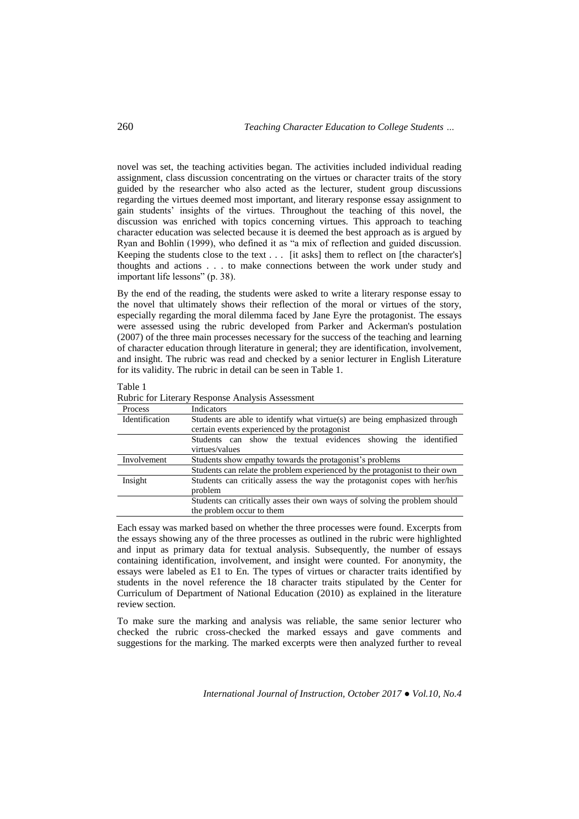novel was set, the teaching activities began. The activities included individual reading assignment, class discussion concentrating on the virtues or character traits of the story guided by the researcher who also acted as the lecturer, student group discussions regarding the virtues deemed most important, and literary response essay assignment to gain students' insights of the virtues. Throughout the teaching of this novel, the discussion was enriched with topics concerning virtues. This approach to teaching character education was selected because it is deemed the best approach as is argued by Ryan and Bohlin (1999), who defined it as "a mix of reflection and guided discussion. Keeping the students close to the text . . . [it asks] them to reflect on [the character's] thoughts and actions . . . to make connections between the work under study and important life lessons" (p. 38).

By the end of the reading, the students were asked to write a literary response essay to the novel that ultimately shows their reflection of the moral or virtues of the story, especially regarding the moral dilemma faced by Jane Eyre the protagonist. The essays were assessed using the rubric developed from Parker and Ackerman's postulation (2007) of the three main processes necessary for the success of the teaching and learning of character education through literature in general; they are identification, involvement, and insight. The rubric was read and checked by a senior lecturer in English Literature for its validity. The rubric in detail can be seen in Table 1.

Table 1

Rubric for Literary Response Analysis Assessment

| Process               | Indicators                                                                  |
|-----------------------|-----------------------------------------------------------------------------|
| <b>Identification</b> | Students are able to identify what virtue(s) are being emphasized through   |
|                       | certain events experienced by the protagonist                               |
|                       | Students can show the textual evidences showing the identified              |
|                       | virtues/values                                                              |
| Involvement           | Students show empathy towards the protagonist's problems                    |
|                       | Students can relate the problem experienced by the protagonist to their own |
| Insight               | Students can critically assess the way the protagonist copes with her/his   |
|                       | problem                                                                     |
|                       | Students can critically asses their own ways of solving the problem should  |
|                       | the problem occur to them                                                   |

Each essay was marked based on whether the three processes were found. Excerpts from the essays showing any of the three processes as outlined in the rubric were highlighted and input as primary data for textual analysis. Subsequently, the number of essays containing identification, involvement, and insight were counted. For anonymity, the essays were labeled as E1 to En. The types of virtues or character traits identified by students in the novel reference the 18 character traits stipulated by the Center for Curriculum of Department of National Education (2010) as explained in the literature review section.

To make sure the marking and analysis was reliable, the same senior lecturer who checked the rubric cross-checked the marked essays and gave comments and suggestions for the marking. The marked excerpts were then analyzed further to reveal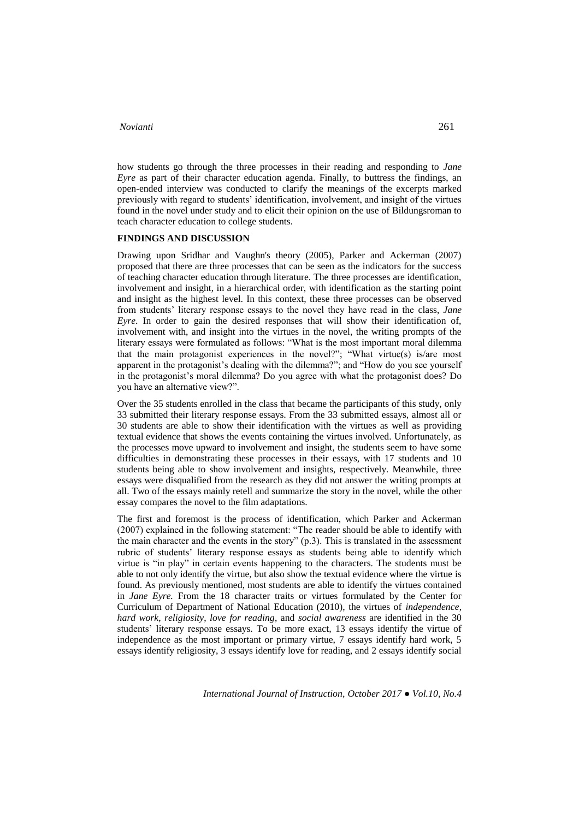how students go through the three processes in their reading and responding to *Jane Eyre* as part of their character education agenda. Finally, to buttress the findings, an open-ended interview was conducted to clarify the meanings of the excerpts marked previously with regard to students' identification, involvement, and insight of the virtues found in the novel under study and to elicit their opinion on the use of Bildungsroman to teach character education to college students.

### **FINDINGS AND DISCUSSION**

Drawing upon Sridhar and Vaughn's theory (2005), Parker and Ackerman (2007) proposed that there are three processes that can be seen as the indicators for the success of teaching character education through literature. The three processes are identification, involvement and insight, in a hierarchical order, with identification as the starting point and insight as the highest level. In this context, these three processes can be observed from students' literary response essays to the novel they have read in the class, *Jane Eyre*. In order to gain the desired responses that will show their identification of, involvement with, and insight into the virtues in the novel, the writing prompts of the literary essays were formulated as follows: "What is the most important moral dilemma that the main protagonist experiences in the novel?"; "What virtue(s) is/are most apparent in the protagonist's dealing with the dilemma?"; and "How do you see yourself in the protagonist's moral dilemma? Do you agree with what the protagonist does? Do you have an alternative view?".

Over the 35 students enrolled in the class that became the participants of this study, only 33 submitted their literary response essays. From the 33 submitted essays, almost all or 30 students are able to show their identification with the virtues as well as providing textual evidence that shows the events containing the virtues involved. Unfortunately, as the processes move upward to involvement and insight, the students seem to have some difficulties in demonstrating these processes in their essays, with 17 students and 10 students being able to show involvement and insights, respectively. Meanwhile, three essays were disqualified from the research as they did not answer the writing prompts at all. Two of the essays mainly retell and summarize the story in the novel, while the other essay compares the novel to the film adaptations.

The first and foremost is the process of identification, which Parker and Ackerman (2007) explained in the following statement: "The reader should be able to identify with the main character and the events in the story" (p.3). This is translated in the assessment rubric of students' literary response essays as students being able to identify which virtue is "in play" in certain events happening to the characters. The students must be able to not only identify the virtue, but also show the textual evidence where the virtue is found. As previously mentioned, most students are able to identify the virtues contained in *Jane Eyre.* From the 18 character traits or virtues formulated by the Center for Curriculum of Department of National Education (2010), the virtues of *independence*, *hard work*, *religiosity*, *love for reading*, and *social awareness* are identified in the 30 students' literary response essays. To be more exact, 13 essays identify the virtue of independence as the most important or primary virtue, 7 essays identify hard work, 5 essays identify religiosity, 3 essays identify love for reading, and 2 essays identify social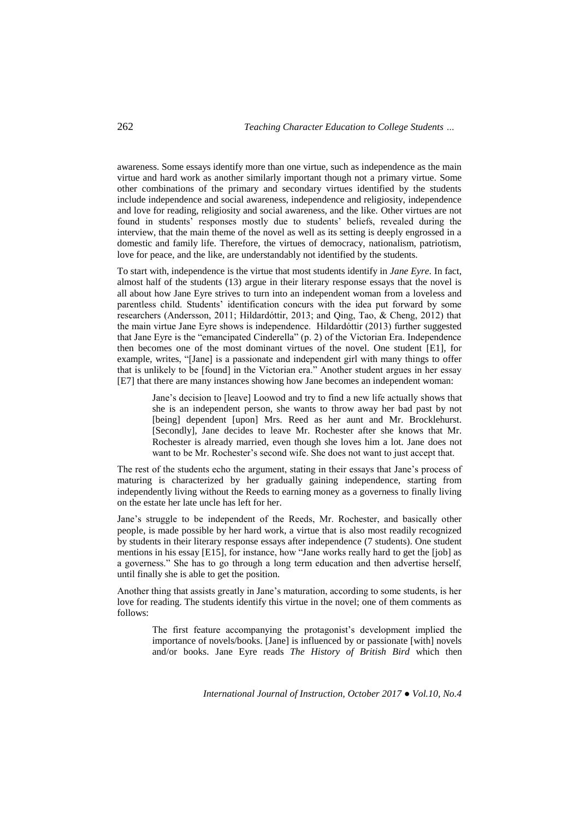awareness. Some essays identify more than one virtue, such as independence as the main virtue and hard work as another similarly important though not a primary virtue. Some other combinations of the primary and secondary virtues identified by the students include independence and social awareness, independence and religiosity, independence and love for reading, religiosity and social awareness, and the like. Other virtues are not found in students' responses mostly due to students' beliefs, revealed during the interview, that the main theme of the novel as well as its setting is deeply engrossed in a domestic and family life. Therefore, the virtues of democracy, nationalism, patriotism, love for peace, and the like, are understandably not identified by the students.

To start with, independence is the virtue that most students identify in *Jane Eyre*. In fact, almost half of the students (13) argue in their literary response essays that the novel is all about how Jane Eyre strives to turn into an independent woman from a loveless and parentless child. Students' identification concurs with the idea put forward by some researchers (Andersson, 2011; Hildardóttir, 2013; and Qing, Tao, & Cheng, 2012) that the main virtue Jane Eyre shows is independence. Hildardóttir (2013) further suggested that Jane Eyre is the "emancipated Cinderella" (p. 2) of the Victorian Era. Independence then becomes one of the most dominant virtues of the novel. One student [E1], for example, writes, "[Jane] is a passionate and independent girl with many things to offer that is unlikely to be [found] in the Victorian era." Another student argues in her essay [E7] that there are many instances showing how Jane becomes an independent woman:

> Jane's decision to [leave] Loowod and try to find a new life actually shows that she is an independent person, she wants to throw away her bad past by not [being] dependent [upon] Mrs. Reed as her aunt and Mr. Brocklehurst. [Secondly], Jane decides to leave Mr. Rochester after she knows that Mr. Rochester is already married, even though she loves him a lot. Jane does not want to be Mr. Rochester's second wife. She does not want to just accept that.

The rest of the students echo the argument, stating in their essays that Jane's process of maturing is characterized by her gradually gaining independence, starting from independently living without the Reeds to earning money as a governess to finally living on the estate her late uncle has left for her.

Jane's struggle to be independent of the Reeds, Mr. Rochester, and basically other people, is made possible by her hard work, a virtue that is also most readily recognized by students in their literary response essays after independence (7 students). One student mentions in his essay [E15], for instance, how "Jane works really hard to get the [job] as a governess." She has to go through a long term education and then advertise herself, until finally she is able to get the position.

Another thing that assists greatly in Jane's maturation, according to some students, is her love for reading. The students identify this virtue in the novel; one of them comments as follows:

> The first feature accompanying the protagonist's development implied the importance of novels/books. [Jane] is influenced by or passionate [with] novels and/or books. Jane Eyre reads *The History of British Bird* which then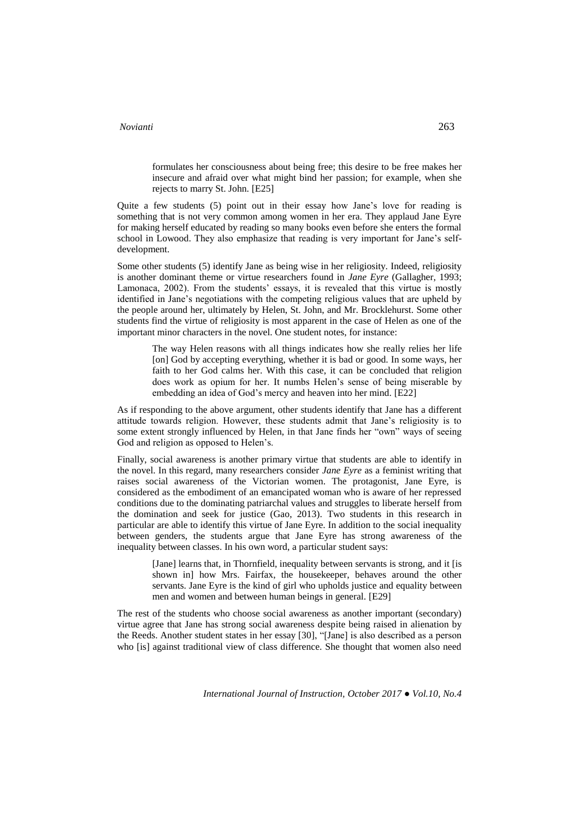formulates her consciousness about being free; this desire to be free makes her insecure and afraid over what might bind her passion; for example, when she rejects to marry St. John. [E25]

Quite a few students (5) point out in their essay how Jane's love for reading is something that is not very common among women in her era. They applaud Jane Eyre for making herself educated by reading so many books even before she enters the formal school in Lowood. They also emphasize that reading is very important for Jane's selfdevelopment.

Some other students (5) identify Jane as being wise in her religiosity. Indeed, religiosity is another dominant theme or virtue researchers found in *Jane Eyre* (Gallagher, 1993; Lamonaca, 2002). From the students' essays, it is revealed that this virtue is mostly identified in Jane's negotiations with the competing religious values that are upheld by the people around her, ultimately by Helen, St. John, and Mr. Brocklehurst. Some other students find the virtue of religiosity is most apparent in the case of Helen as one of the important minor characters in the novel. One student notes, for instance:

> The way Helen reasons with all things indicates how she really relies her life [on] God by accepting everything, whether it is bad or good. In some ways, her faith to her God calms her. With this case, it can be concluded that religion does work as opium for her. It numbs Helen's sense of being miserable by embedding an idea of God's mercy and heaven into her mind. [E22]

As if responding to the above argument, other students identify that Jane has a different attitude towards religion. However, these students admit that Jane's religiosity is to some extent strongly influenced by Helen, in that Jane finds her "own" ways of seeing God and religion as opposed to Helen's.

Finally, social awareness is another primary virtue that students are able to identify in the novel. In this regard, many researchers consider *Jane Eyre* as a feminist writing that raises social awareness of the Victorian women. The protagonist, Jane Eyre, is considered as the embodiment of an emancipated woman who is aware of her repressed conditions due to the dominating patriarchal values and struggles to liberate herself from the domination and seek for justice (Gao, 2013). Two students in this research in particular are able to identify this virtue of Jane Eyre. In addition to the social inequality between genders, the students argue that Jane Eyre has strong awareness of the inequality between classes. In his own word, a particular student says:

> [Jane] learns that, in Thornfield, inequality between servants is strong, and it [is shown in] how Mrs. Fairfax, the housekeeper, behaves around the other servants. Jane Eyre is the kind of girl who upholds justice and equality between men and women and between human beings in general. [E29]

The rest of the students who choose social awareness as another important (secondary) virtue agree that Jane has strong social awareness despite being raised in alienation by the Reeds. Another student states in her essay [30], "[Jane] is also described as a person who [is] against traditional view of class difference. She thought that women also need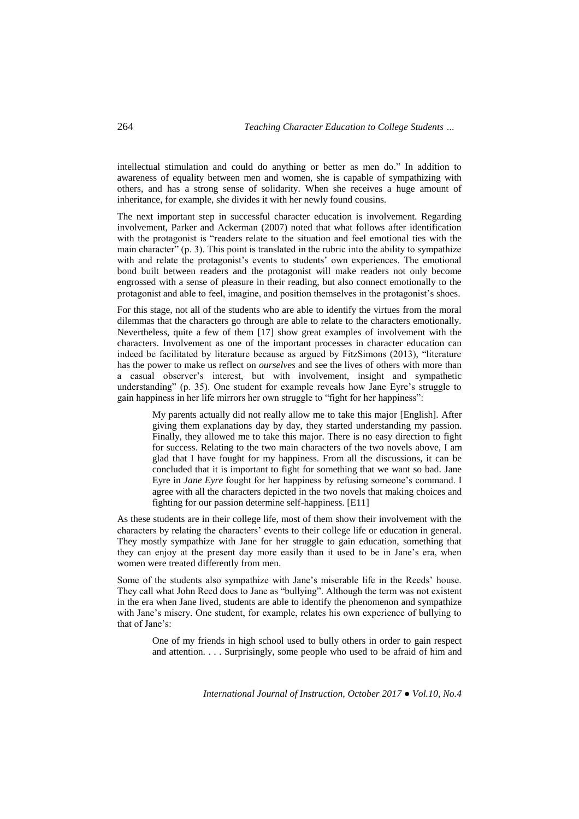intellectual stimulation and could do anything or better as men do." In addition to awareness of equality between men and women, she is capable of sympathizing with others, and has a strong sense of solidarity. When she receives a huge amount of inheritance, for example, she divides it with her newly found cousins.

The next important step in successful character education is involvement. Regarding involvement, Parker and Ackerman (2007) noted that what follows after identification with the protagonist is "readers relate to the situation and feel emotional ties with the main character" (p. 3). This point is translated in the rubric into the ability to sympathize with and relate the protagonist's events to students' own experiences. The emotional bond built between readers and the protagonist will make readers not only become engrossed with a sense of pleasure in their reading, but also connect emotionally to the protagonist and able to feel, imagine, and position themselves in the protagonist's shoes.

For this stage, not all of the students who are able to identify the virtues from the moral dilemmas that the characters go through are able to relate to the characters emotionally. Nevertheless, quite a few of them [17] show great examples of involvement with the characters. Involvement as one of the important processes in character education can indeed be facilitated by literature because as argued by FitzSimons (2013), "literature has the power to make us reflect on *ourselves* and see the lives of others with more than a casual observer's interest, but with involvement, insight and sympathetic understanding" (p. 35). One student for example reveals how Jane Eyre's struggle to gain happiness in her life mirrors her own struggle to "fight for her happiness":

> My parents actually did not really allow me to take this major [English]. After giving them explanations day by day, they started understanding my passion. Finally, they allowed me to take this major. There is no easy direction to fight for success. Relating to the two main characters of the two novels above, I am glad that I have fought for my happiness. From all the discussions, it can be concluded that it is important to fight for something that we want so bad. Jane Eyre in *Jane Eyre* fought for her happiness by refusing someone's command. I agree with all the characters depicted in the two novels that making choices and fighting for our passion determine self-happiness. [E11]

As these students are in their college life, most of them show their involvement with the characters by relating the characters' events to their college life or education in general. They mostly sympathize with Jane for her struggle to gain education, something that they can enjoy at the present day more easily than it used to be in Jane's era, when women were treated differently from men.

Some of the students also sympathize with Jane's miserable life in the Reeds' house. They call what John Reed does to Jane as "bullying". Although the term was not existent in the era when Jane lived, students are able to identify the phenomenon and sympathize with Jane's misery. One student, for example, relates his own experience of bullying to that of Jane's:

One of my friends in high school used to bully others in order to gain respect and attention. . . . Surprisingly, some people who used to be afraid of him and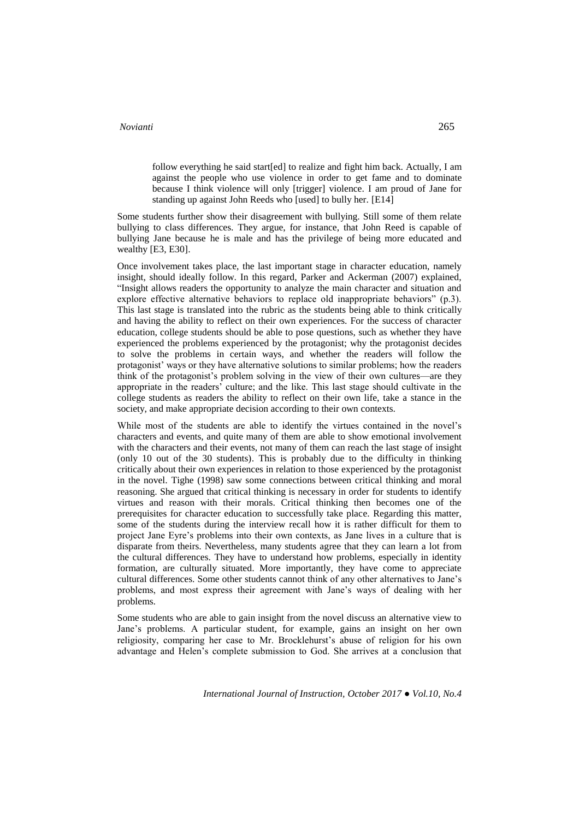follow everything he said start [ed] to realize and fight him back. Actually, I am against the people who use violence in order to get fame and to dominate because I think violence will only [trigger] violence. I am proud of Jane for standing up against John Reeds who [used] to bully her. [E14]

Some students further show their disagreement with bullying. Still some of them relate bullying to class differences. They argue, for instance, that John Reed is capable of bullying Jane because he is male and has the privilege of being more educated and wealthy [E3, E30].

Once involvement takes place, the last important stage in character education, namely insight, should ideally follow. In this regard, Parker and Ackerman (2007) explained, "Insight allows readers the opportunity to analyze the main character and situation and explore effective alternative behaviors to replace old inappropriate behaviors" (p.3). This last stage is translated into the rubric as the students being able to think critically and having the ability to reflect on their own experiences. For the success of character education, college students should be able to pose questions, such as whether they have experienced the problems experienced by the protagonist; why the protagonist decides to solve the problems in certain ways, and whether the readers will follow the protagonist' ways or they have alternative solutions to similar problems; how the readers think of the protagonist's problem solving in the view of their own cultures—are they appropriate in the readers' culture; and the like. This last stage should cultivate in the college students as readers the ability to reflect on their own life, take a stance in the society, and make appropriate decision according to their own contexts.

While most of the students are able to identify the virtues contained in the novel's characters and events, and quite many of them are able to show emotional involvement with the characters and their events, not many of them can reach the last stage of insight (only 10 out of the 30 students). This is probably due to the difficulty in thinking critically about their own experiences in relation to those experienced by the protagonist in the novel. Tighe (1998) saw some connections between critical thinking and moral reasoning. She argued that critical thinking is necessary in order for students to identify virtues and reason with their morals. Critical thinking then becomes one of the prerequisites for character education to successfully take place. Regarding this matter, some of the students during the interview recall how it is rather difficult for them to project Jane Eyre's problems into their own contexts, as Jane lives in a culture that is disparate from theirs. Nevertheless, many students agree that they can learn a lot from the cultural differences. They have to understand how problems, especially in identity formation, are culturally situated. More importantly, they have come to appreciate cultural differences. Some other students cannot think of any other alternatives to Jane's problems, and most express their agreement with Jane's ways of dealing with her problems.

Some students who are able to gain insight from the novel discuss an alternative view to Jane's problems. A particular student, for example, gains an insight on her own religiosity, comparing her case to Mr. Brocklehurst's abuse of religion for his own advantage and Helen's complete submission to God. She arrives at a conclusion that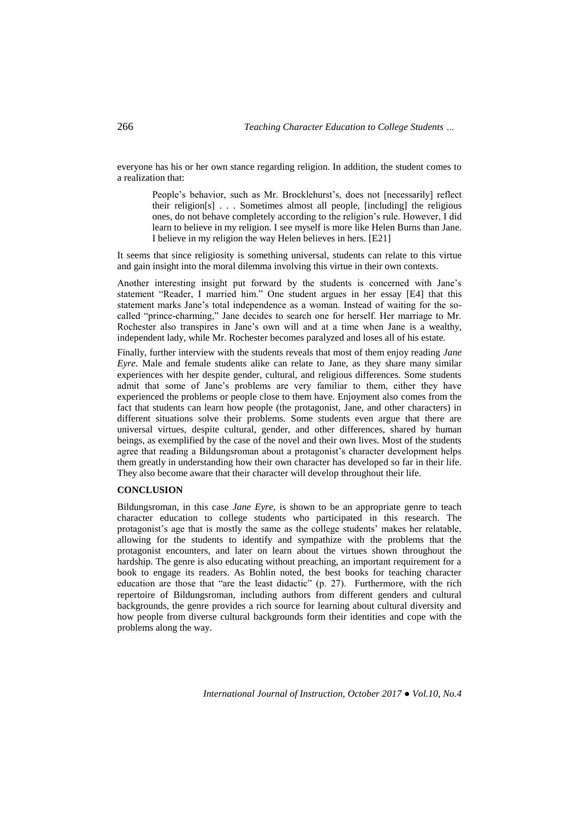everyone has his or her own stance regarding religion. In addition, the student comes to a realization that:

People's behavior, such as Mr. Brocklehurst's, does not [necessarily] reflect their religion[s] . . . Sometimes almost all people, [including] the religious ones, do not behave completely according to the religion's rule. However, I did learn to believe in my religion. I see myself is more like Helen Burns than Jane. I believe in my religion the way Helen believes in hers. [E21]

It seems that since religiosity is something universal, students can relate to this virtue and gain insight into the moral dilemma involving this virtue in their own contexts.

Another interesting insight put forward by the students is concerned with Jane's statement "Reader, I married him." One student argues in her essay [E4] that this statement marks Jane's total independence as a woman. Instead of waiting for the socalled "prince-charming," Jane decides to search one for herself. Her marriage to Mr. Rochester also transpires in Jane's own will and at a time when Jane is a wealthy, independent lady, while Mr. Rochester becomes paralyzed and loses all of his estate.

Finally, further interview with the students reveals that most of them enjoy reading *Jane Eyre*. Male and female students alike can relate to Jane, as they share many similar experiences with her despite gender, cultural, and religious differences. Some students admit that some of Jane's problems are very familiar to them, either they have experienced the problems or people close to them have. Enjoyment also comes from the fact that students can learn how people (the protagonist, Jane, and other characters) in different situations solve their problems. Some students even argue that there are universal virtues, despite cultural, gender, and other differences, shared by human beings, as exemplified by the case of the novel and their own lives. Most of the students agree that reading a Bildungsroman about a protagonist's character development helps them greatly in understanding how their own character has developed so far in their life. They also become aware that their character will develop throughout their life.

### **CONCLUSION**

Bildungsroman, in this case *Jane Eyre*, is shown to be an appropriate genre to teach character education to college students who participated in this research. The protagonist's age that is mostly the same as the college students' makes her relatable, allowing for the students to identify and sympathize with the problems that the protagonist encounters, and later on learn about the virtues shown throughout the hardship. The genre is also educating without preaching, an important requirement for a book to engage its readers. As Bohlin noted, the best books for teaching character education are those that "are the least didactic" (p. 27). Furthermore, with the rich repertoire of Bildungsroman, including authors from different genders and cultural backgrounds, the genre provides a rich source for learning about cultural diversity and how people from diverse cultural backgrounds form their identities and cope with the problems along the way.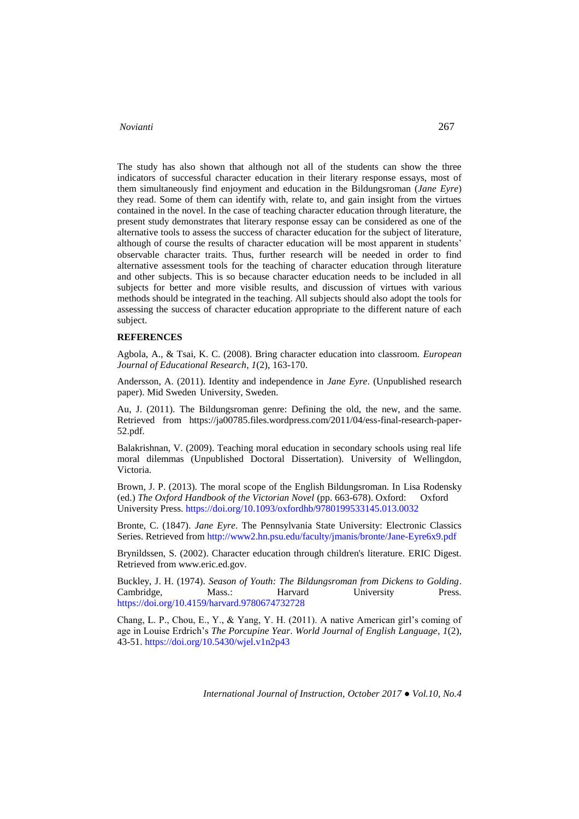The study has also shown that although not all of the students can show the three indicators of successful character education in their literary response essays, most of them simultaneously find enjoyment and education in the Bildungsroman (*Jane Eyre*) they read. Some of them can identify with, relate to, and gain insight from the virtues contained in the novel. In the case of teaching character education through literature, the present study demonstrates that literary response essay can be considered as one of the alternative tools to assess the success of character education for the subject of literature, although of course the results of character education will be most apparent in students' observable character traits. Thus, further research will be needed in order to find alternative assessment tools for the teaching of character education through literature and other subjects. This is so because character education needs to be included in all subjects for better and more visible results, and discussion of virtues with various methods should be integrated in the teaching. All subjects should also adopt the tools for assessing the success of character education appropriate to the different nature of each subject.

#### **REFERENCES**

Agbola, A., & Tsai, K. C. (2008). Bring character education into classroom. *European Journal of Educational Research*, *1*(2), 163-170.

Andersson, A. (2011). Identity and independence in *Jane Eyre*. (Unpublished research paper). Mid Sweden University, Sweden.

Au, J. (2011). The Bildungsroman genre: Defining the old, the new, and the same. Retrieved from [https://ja00785.files.wordpress.com/2011/04/ess-final-research-p](https://ja00785.files.wordpress.com/2011/04/ess-final-research-)aper-52.pdf.

Balakrishnan, V. (2009). Teaching moral education in secondary schools using real life moral dilemmas (Unpublished Doctoral Dissertation). University of Wellingdon, Victoria.

Brown, J. P. (2013). The moral scope of the English Bildungsroman. In Lisa Rodensky (ed.) *The Oxford Handbook of the Victorian Novel* (pp. 663-678). Oxford: Oxford University Press.<https://doi.org/10.1093/oxfordhb/9780199533145.013.0032>

Bronte, C. (1847). *Jane Eyre*. The Pennsylvania State University: Electronic Classics Series. Retrieved from<http://www2.hn.psu.edu/faculty/jmanis/bronte/Jane-Eyre6x9.pdf>

Brynildssen, S. (2002). Character education through children's literature. ERIC Digest. Retrieved from www.eric.ed.gov.

Buckley, J. H. (1974). *Season of Youth: The Bildungsroman from Dickens to Golding*. Cambridge, Mass.: Harvard University Press. <https://doi.org/10.4159/harvard.9780674732728>

Chang, L. P., Chou, E., Y., & Yang, Y. H. (2011). A native American girl's coming of age in Louise Erdrich's *The Porcupine Year*. *World Journal of English Language*, *1*(2), 43-51.<https://doi.org/10.5430/wjel.v1n2p43>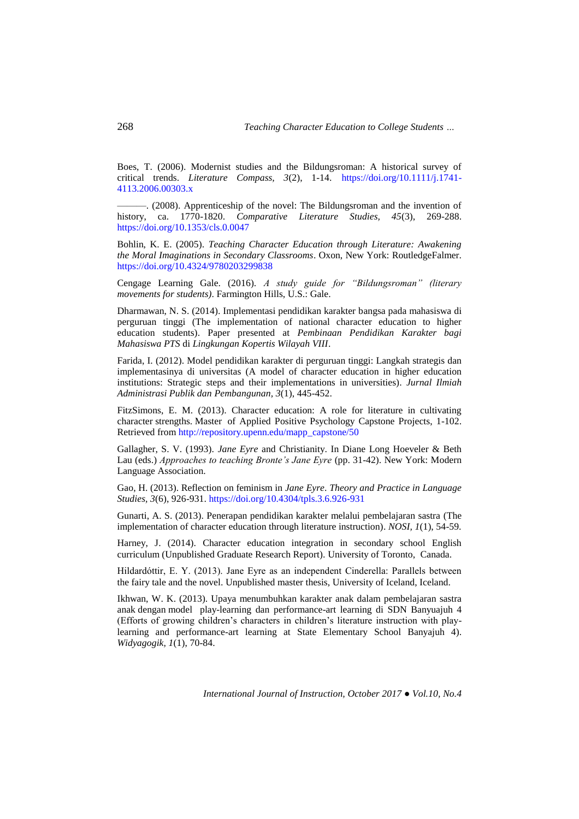Boes, T. (2006). Modernist studies and the Bildungsroman: A historical survey of critical trends. *Literature Compass, 3*(2), 1-14. [https://doi.org/10.1111/j.1741-](https://doi.org/10.1111/j.1741-4113.2006.00303.x) [4113.2006.00303.x](https://doi.org/10.1111/j.1741-4113.2006.00303.x)

———. (2008). Apprenticeship of the novel: The Bildungsroman and the invention of history, ca. 1770-1820. *Comparative Literature Studies, 45*(3), 269-288. <https://doi.org/10.1353/cls.0.0047>

Bohlin, K. E. (2005). *Teaching Character Education through Literature: Awakening the Moral Imaginations in Secondary Classrooms*. Oxon, New York: RoutledgeFalmer. <https://doi.org/10.4324/9780203299838>

Cengage Learning Gale. (2016). *A study guide for "Bildungsroman" (literary movements for students)*. Farmington Hills, U.S.: Gale.

Dharmawan, N. S. (2014). Implementasi pendidikan karakter bangsa pada mahasiswa di perguruan tinggi (The implementation of national character education to higher education students). Paper presented at *Pembinaan Pendidikan Karakter bagi Mahasiswa PTS* di *Lingkungan Kopertis Wilayah VIII*.

Farida, I. (2012). Model pendidikan karakter di perguruan tinggi: Langkah strategis dan implementasinya di universitas (A model of character education in higher education institutions: Strategic steps and their implementations in universities). *Jurnal Ilmiah Administrasi Publik dan Pembangunan, 3*(1), 445-452.

FitzSimons, E. M. (2013). Character education: A role for literature in cultivating character strengths. Master of Applied Positive Psychology Capstone Projects, 1-102. Retrieved fro[m http://repository.upenn.edu/mapp\\_capstone/50](http://repository.upenn.edu/mapp_capstone/50)

Gallagher, S. V. (1993). *Jane Eyre* and Christianity. In Diane Long Hoeveler & Beth Lau (eds.) *Approaches to teaching Bronte's Jane Eyre* (pp. 31-42). New York: Modern Language Association.

Gao, H. (2013). Reflection on feminism in *Jane Eyre*. *Theory and Practice in Language Studies, 3*(6), 926-931.<https://doi.org/10.4304/tpls.3.6.926-931>

Gunarti, A. S. (2013). Penerapan pendidikan karakter melalui pembelajaran sastra (The implementation of character education through literature instruction). *NOSI, 1*(1), 54-59.

Harney, J. (2014). Character education integration in secondary school English curriculum (Unpublished Graduate Research Report). University of Toronto, Canada.

Hildardóttir, E. Y. (2013). Jane Eyre as an independent Cinderella: Parallels between the fairy tale and the novel. Unpublished master thesis, University of Iceland, Iceland.

Ikhwan, W. K. (2013). Upaya menumbuhkan karakter anak dalam pembelajaran sastra anak dengan model play-learning dan performance-art learning di SDN Banyuajuh 4 (Efforts of growing children's characters in children's literature instruction with playlearning and performance-art learning at State Elementary School Banyajuh 4). *Widyagogik, 1*(1), 70-84.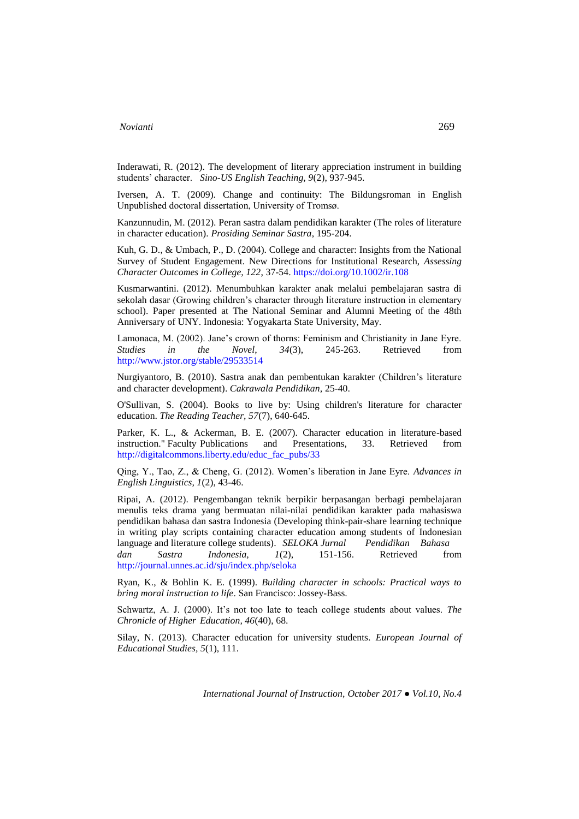Inderawati, R. (2012). The development of literary appreciation instrument in building students' character. *Sino-US English Teaching, 9*(2), 937-945.

Iversen, A. T. (2009). Change and continuity: The Bildungsroman in English Unpublished doctoral dissertation, University of Tromsø.

Kanzunnudin, M. (2012). Peran sastra dalam pendidikan karakter (The roles of literature in character education). *Prosiding Seminar Sastra*, 195-204.

Kuh, G. D., & Umbach, P., D. (2004). College and character: Insights from the National Survey of Student Engagement. New Directions for Institutional Research, *Assessing Character Outcomes in College, 122*, 37-54[. https://doi.org/10.1002/ir.108](https://doi.org/10.1002/ir.108)

Kusmarwantini. (2012). Menumbuhkan karakter anak melalui pembelajaran sastra di sekolah dasar (Growing children's character through literature instruction in elementary school). Paper presented at The National Seminar and Alumni Meeting of the 48th Anniversary of UNY. Indonesia: Yogyakarta State University, May.

Lamonaca, M. (2002). Jane's crown of thorns: Feminism and Christianity in Jane Eyre. *Studies in the Novel, 34*(3), 245-263. Retrieved from <http://www.jstor.org/stable/29533514>

Nurgiyantoro, B. (2010). Sastra anak dan pembentukan karakter (Children's literature and character development). *Cakrawala Pendidikan,* 25-40.

O'Sullivan, S. (2004). Books to live by: Using children's literature for character education. *The Reading Teacher, 57*(7), 640-645.

Parker, K. L., & Ackerman, B. E. (2007). Character education in literature-based instruction." Faculty Publications and Presentations, 33. Retrieved from instruction." Faculty Publications and Presentations, 33. Retrieved from [http://digitalcommons.liberty.edu/educ\\_fac\\_pubs/33](http://digitalcommons.liberty.edu/educ_fac_pubs/33)

Qing, Y., Tao, Z., & Cheng, G. (2012). Women's liberation in Jane Eyre. *Advances in English Linguistics, 1*(2), 43-46.

Ripai, A. (2012). Pengembangan teknik berpikir berpasangan berbagi pembelajaran menulis teks drama yang bermuatan nilai-nilai pendidikan karakter pada mahasiswa pendidikan bahasa dan sastra Indonesia (Developing think-pair-share learning technique in writing play scripts containing character education among students of Indonesian language and literature college students). *SELOKA Jurnal Pendidikan Bahasa dan Sastra Indonesia, 1*(2), 151-156. Retrieved from <http://journal.unnes.ac.id/sju/index.php/seloka>

Ryan, K., & Bohlin K. E. (1999). *Building character in schools: Practical ways to bring moral instruction to life*. San Francisco: Jossey-Bass.

Schwartz, A. J. (2000). It's not too late to teach college students about values. *The Chronicle of Higher Education, 46*(40), 68.

Silay, N. (2013). Character education for university students. *European Journal of Educational Studies, 5*(1), 111.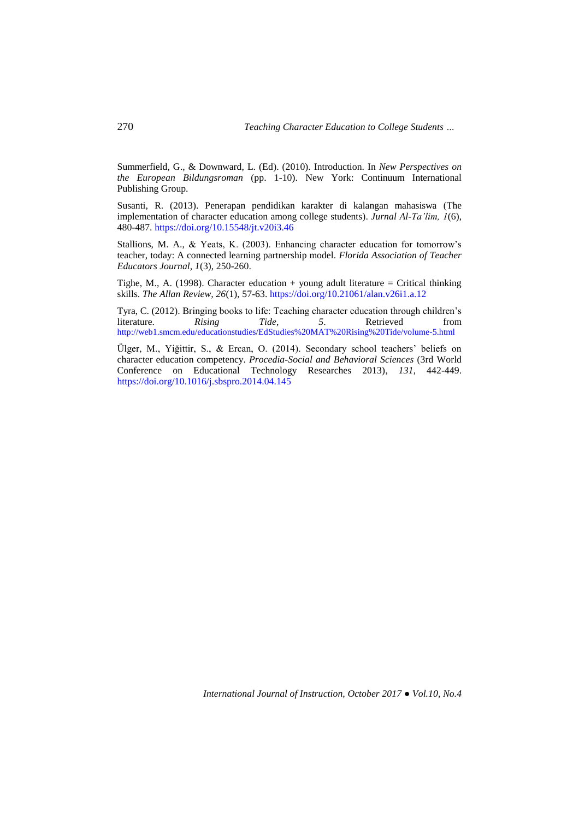Summerfield, G., & Downward, L. (Ed). (2010). Introduction. In *New Perspectives on the European Bildungsroman* (pp. 1-10). New York: Continuum International Publishing Group.

Susanti, R. (2013). Penerapan pendidikan karakter di kalangan mahasiswa (The implementation of character education among college students). *Jurnal Al-Ta'lim, 1*(6), 480-487.<https://doi.org/10.15548/jt.v20i3.46>

Stallions, M. A., & Yeats, K. (2003). Enhancing character education for tomorrow's teacher, today: A connected learning partnership model. *Florida Association of Teacher Educators Journal, 1*(3), 250-260.

Tighe, M., A. (1998). Character education  $+$  young adult literature  $=$  Critical thinking skills. *The Allan Review, 26*(1), 57-63.<https://doi.org/10.21061/alan.v26i1.a.12>

Tyra, C. (2012). Bringing books to life: Teaching character education through children's literature. *Rising Tide*, *5*. Retrieved from <http://web1.smcm.edu/educationstudies/EdStudies%20MAT%20Rising%20Tide/volume-5.html>

Ülger, M., Yiğittir, S., & Ercan, O. (2014). Secondary school teachers' beliefs on character education competency. *Procedia-Social and Behavioral Sciences* (3rd World Conference on Educational Technology Researches 2013), *131*, 442-449. <https://doi.org/10.1016/j.sbspro.2014.04.145>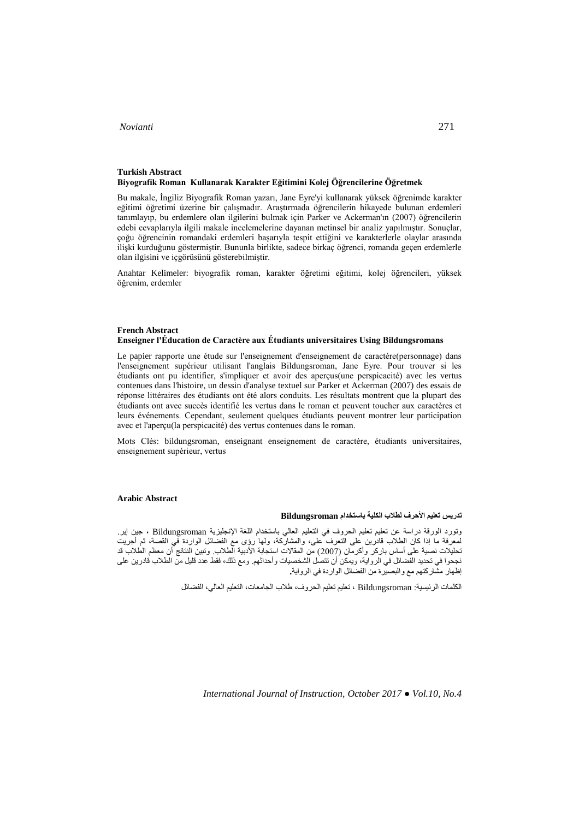#### **Turkish Abstract Biyografik Roman Kullanarak Karakter Eğitimini Kolej Öğrencilerine Öğretmek**

Bu makale, İngiliz Biyografik Roman yazarı, Jane Eyre'yi kullanarak yüksek öğrenimde karakter eğitimi öğretimi üzerine bir çalışmadır. Araştırmada öğrencilerin hikayede bulunan erdemleri tanımlayıp, bu erdemlere olan ilgilerini bulmak için Parker ve Ackerman'ın (2007) öğrencilerin edebi cevaplarıyla ilgili makale incelemelerine dayanan metinsel bir analiz yapılmıştır. Sonuçlar, çoğu öğrencinin romandaki erdemleri başarıyla tespit ettiğini ve karakterlerle olaylar arasında ilişki kurduğunu göstermiştir. Bununla birlikte, sadece birkaç öğrenci, romanda geçen erdemlerle olan ilgisini ve içgörüsünü gösterebilmiştir.

Anahtar Kelimeler: biyografik roman, karakter öğretimi eğitimi, kolej öğrencileri, yüksek öğrenim, erdemler

#### **French Abstract Enseigner l'Éducation de Caractère aux Étudiants universitaires Using Bildungsromans**

Le papier rapporte une étude sur l'enseignement d'enseignement de caractère(personnage) dans l'enseignement supérieur utilisant l'anglais Bildungsroman, Jane Eyre. Pour trouver si les étudiants ont pu identifier, s'impliquer et avoir des aperçus(une perspicacité) avec les vertus contenues dans l'histoire, un dessin d'analyse textuel sur Parker et Ackerman (2007) des essais de réponse littéraires des étudiants ont été alors conduits. Les résultats montrent que la plupart des étudiants ont avec succès identifié les vertus dans le roman et peuvent toucher aux caractères et leurs événements. Cependant, seulement quelques étudiants peuvent montrer leur participation avec et l'aperçu(la perspicacité) des vertus contenues dans le roman.

Mots Clés: bildungsroman, enseignant enseignement de caractère, étudiants universitaires, enseignement supérieur, vertus

#### **Arabic Abstract**

#### **تدريس تعليم األحرف لطالب الكلية باستخدام Bildungsroman**

وتورد الورقة دراسة عن تعليم تعليم الحروف في التعليم العالي باستخدام اللغة اإلنجليزية Bildungsroman ، جين إير. لمعرفة ما إذا كان الطالب قادرين على التعرف على، والمشاركة، ولها رؤى مع الفضائل الواردة في القصة، ثم أجريت تحليالت نصية على أساس باركر وأكرمان )7002( من المقاالت استجابة األدبية الطالب. وتبين النتائج أن معظم الطالب قد نجحوا في تحديد الفضائل في الرواية، ويمكن أن تتصل الشخصيات وأحداثهم. ومع ذلك، فقط عدد قليل من الطالب قادرين على إظهار مشاركتهم مع والبصيرة من الفضائل الواردة في الرواية**.**

الكلمات الرئيسية: Bildungsroman ، تعليم تعليم الحروف، طالب الجامعات، التعليم العالي، الفضائل